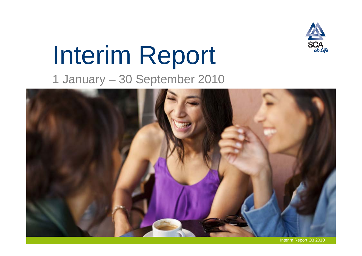

# Interim Report

1 January – 30 September 2010



Interim Report Q3 2010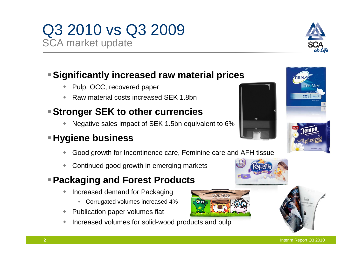## Q3 2010 vs Q3 2009

SCA market update

#### **Significantly increased raw material prices**

- ٠ Pulp, OCC, recovered paper
- ٠ Raw material costs increased SEK 1.8bn

#### **Stronger SEK to other currencies**

٠ Negative sales impact of SEK 1.5bn equivalent to 6%

#### **Hygiene business**

- $\ddot{\phantom{0}}$ Good growth for Incontinence care, Feminine care and AFH tissue
- ٠ Continued good growth in emerging markets

#### **Packaging and Forest Products**

- $\ddot{\phantom{0}}$  Increased demand for Packaging
	- Corrugated volumes increased 4%
- Publication paper volumes flat
- $\ddot{\phantom{0}}$ Increased volumes for solid-wood products and pulp









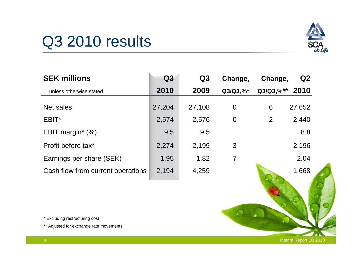## Q3 2010 results



| <b>SEK millions</b>               | Q3     | Q3     | Change,        | Change,        | Q <sub>2</sub> |
|-----------------------------------|--------|--------|----------------|----------------|----------------|
| unless otherwise stated           | 2010   | 2009   | $Q3/Q3, \%^*$  | $Q3/Q3, \%$ ** | 2010           |
| Net sales                         | 27,204 | 27,108 | $\overline{0}$ | 6              | 27,652         |
| EBIT*                             | 2,574  | 2,576  | $\overline{0}$ | $\overline{2}$ | 2,440          |
| EBIT margin* (%)                  | 9.5    | 9.5    |                |                | 8.8            |
| Profit before tax*                | 2,274  | 2,199  | 3              |                | 2,196          |
| Earnings per share (SEK)          | 1.95   | 1.82   | 7              |                | 2.04           |
| Cash flow from current operations | 2,194  | 4,259  |                |                | 1,668          |

\* Excluding restructuring cost

\*\* Adjusted for exchange rate movements

Interim Report Q3 2010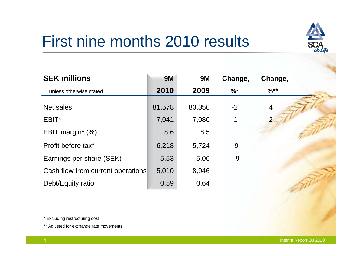## First nine months 2010 results

| <b>SEK millions</b>               | <b>9M</b> | <b>9M</b> | Change,       | Change,          |  |
|-----------------------------------|-----------|-----------|---------------|------------------|--|
| unless otherwise stated           | 2010      | 2009      | $\frac{9}{6}$ | $\frac{9}{6}$ ** |  |
| Net sales                         | 81,578    | 83,350    | $-2$          | $\overline{4}$   |  |
| EBIT*                             | 7,041     | 7,080     | $-1$          |                  |  |
| EBIT margin* $(\%)$               | 8.6       | 8.5       |               |                  |  |
| Profit before tax*                | 6,218     | 5,724     | 9             |                  |  |
| Earnings per share (SEK)          | 5.53      | 5.06      | 9             |                  |  |
| Cash flow from current operations | 5,010     | 8,946     |               |                  |  |
| Debt/Equity ratio                 | 0.59      | 0.64      |               |                  |  |

\* Excluding restructuring cost

\*\* Adjusted for exchange rate movements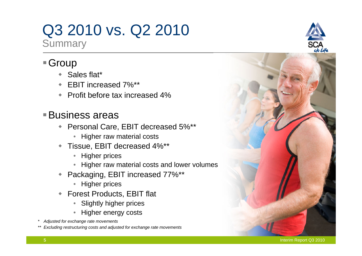## Q3 2010 vs. Q2 2010

**Summary** 

#### ■Group

- ◆ Sales flat\*
- EBIT increased 7%\*\*
- ◆ Profit before tax increased 4%

#### Business areas

- ◆ Personal Care, EBIT decreased 5%\*\*
	- Higher raw material costs
- Tissue, EBIT decreased 4%\*\*
	- Higher prices
	- Higher raw material costs and lower volumes
- $\blacklozenge$  Packaging, EBIT increased 77%\*\*
	- Higher prices
- Forest Products, EBIT flat
	- Slightly higher prices
	- Higher energy costs
- *\* Adjusted for exchange rate movements*
- *\*\* Excluding restructuring costs and adjusted for exchange rate movements*



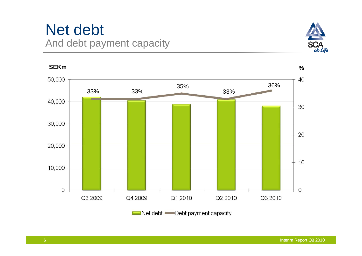### Net debt And debt payment capacity





Net debt Debt payment capacity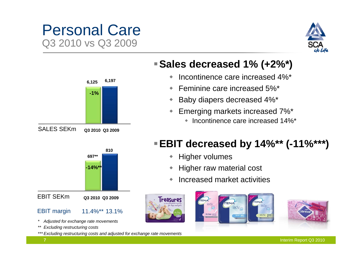### Personal Care Q3 2010 vs Q3 2009







- $\blacklozenge$ Incontinence care increased 4%\*
- ٠ Feminine care increased 5%\*
- ٠ Baby diapers decreased 4%\*
- ٠ Emerging markets increased 7%\*
	- ◆ Incontinence care increased 14%\*

#### **EBIT decreased by 14%\*\* (-11%\*\*\*)**

- **+** Higher volumes
- ٠ Higher raw material cost
- $\ddot{\bullet}$ Increased market activities





#### **-14%\*\*** EBIT SEKm**810697\*\* Q3 2010 Q3 2009**

- 11.4%\*\* 13.1%EBIT margin
- *\* Adjusted for exchange rate movements*
- *\*\* Excluding restructuring costs*
- *\*\*\* Excluding restructuring costs and adjusted for exchange rate movements*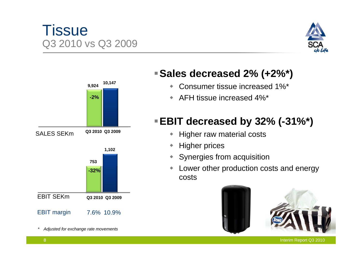#### Interim Report Q3 2010

#### **Tissue** Q3 2010 vs Q3 2009



#### **Sales decreased 2% (+2%\*)**

- $\begin{picture}(20,20)(-0.5,0.5) \put(0,0){\line(1,0){10}} \put(10,0){\line(1,0){10}} \put(10,0){\line(1,0){10}} \put(10,0){\line(1,0){10}} \put(10,0){\line(1,0){10}} \put(10,0){\line(1,0){10}} \put(10,0){\line(1,0){10}} \put(10,0){\line(1,0){10}} \put(10,0){\line(1,0){10}} \put(10,0){\line(1,0){10}} \put(10,0){\line(1,0){10}} \put($ Consumer tissue increased 1%\*
- $\blacklozenge$ AFH tissue increased 4%\*

### **EBIT decreased by 32% (-31%\*)**

- $\blacklozenge$ Higher raw material costs
- $\blacklozenge$ Higher prices
- Synergies from acquisition
- $\begin{picture}(20,20)(-0.5,0.5) \put(0,0){\line(1,0){10}} \put(10,0){\line(1,0){10}} \put(10,0){\line(1,0){10}} \put(10,0){\line(1,0){10}} \put(10,0){\line(1,0){10}} \put(10,0){\line(1,0){10}} \put(10,0){\line(1,0){10}} \put(10,0){\line(1,0){10}} \put(10,0){\line(1,0){10}} \put(10,0){\line(1,0){10}} \put(10,0){\line(1,0){10}} \put($  Lower other production costs and energy costs



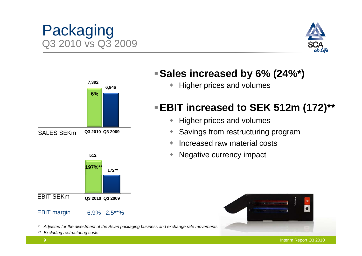$\bullet$ 

#### **6%6,946 7,392**

#### **172\*\***EBIT SEKm**Q3 2010 Q3 2009 197%\*\***

6.9% 2.5\*\*%

#### EBIT margin

*\* Adjusted for the divestment of the Asian packaging business and exchange rate movements*

*\*\* Excluding restructuring costs*

#### **Sales increased by 6% (24%\*)**

• Higher prices and volumes

### **EBIT increased to SEK 512m (172)\*\***

- $\blacklozenge$ Higher prices and volumes
- $\begin{picture}(20,20)(-2.5,2.5) \put(0,0){\line(1,0){15}} \put(15,0){\line(1,0){15}} \put(15,0){\line(1,0){15}} \put(15,0){\line(1,0){15}} \put(15,0){\line(1,0){15}} \put(15,0){\line(1,0){15}} \put(15,0){\line(1,0){15}} \put(15,0){\line(1,0){15}} \put(15,0){\line(1,0){15}} \put(15,0){\line(1,0){15}} \put(15,0){\line(1,0){15}} \put($ Savings from restructuring program
- $\begin{array}{c} \bullet \\ \bullet \end{array}$ Increased raw material costs
- $\begin{array}{c} \bullet \\ \bullet \end{array}$ Negative currency impact



9





Packaging

Q3 2010 vs Q3 2009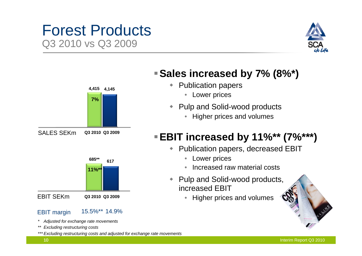### Forest Products Q3 2010 vs Q3 2009





#### EBIT margin

15.5%\*\* 14.9%

- *\* Adjusted for exchange rate movements*
- *\*\* Excluding restructuring costs*

*\*\*\* Excluding restructuring costs and adjusted for exchange rate movements* 

#### **Sales increased by 7% (8%\*)**

- ◆ Publication papers
	- Lower prices
- $\blacklozenge$  Pulp and Solid-wood products
	- Higher prices and volumes

#### **EBIT increased by 11%\*\* (7%\*\*\*)**

- ◆ Publication papers, decreased EBIT
	- $\bullet$ Lower prices
	- Increased raw material costs
- Pulp and Solid-wood products, increased EBIT
	- $\bullet$ Higher prices and volumes

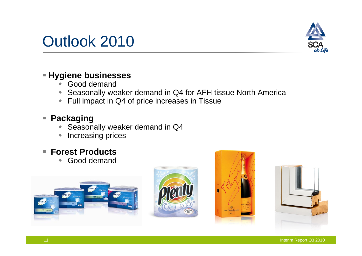



#### **Hygiene businesses**

- $\ddot{\bullet}$ Good demand
- Seasonally weaker demand in Q4 for AFH tissue North America
- Full impact in Q4 of price increases in Tissue

#### **Packaging**

- $\blacklozenge$ Seasonally weaker demand in Q4
- $\blacklozenge$ Increasing prices

#### **Forest Products**

Good demand







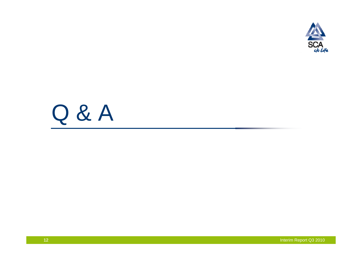

# Q & A